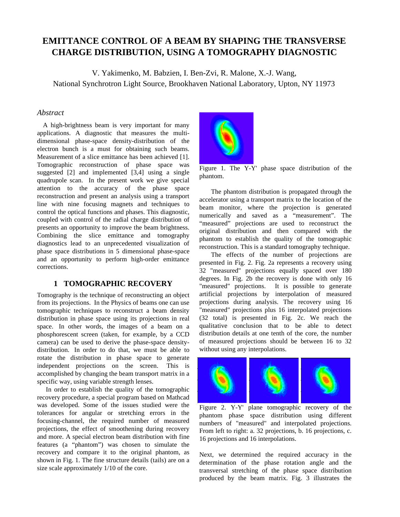# **EMITTANCE CONTROL OF A BEAM BY SHAPING THE TRANSVERSE CHARGE DISTRIBUTION, USING A TOMOGRAPHY DIAGNOSTIC**

V. Yakimenko, M. Babzien, I. Ben-Zvi, R. Malone, X.-J. Wang, National Synchrotron Light Source, Brookhaven National Laboratory, Upton, NY 11973

### *Abstract*

A high-brightness beam is very important for many applications. A diagnostic that measures the multidimensional phase-space density-distribution of the electron bunch is a must for obtaining such beams. Measurement of a slice emittance has been achieved [1]. Tomographic reconstruction of phase space was suggested [2] and implemented [3,4] using a single quadrupole scan. In the present work we give special attention to the accuracy of the phase space reconstruction and present an analysis using a transport line with nine focusing magnets and techniques to control the optical functions and phases. This diagnostic, coupled with control of the radial charge distribution of presents an opportunity to improve the beam brightness. Combining the slice emittance and tomography diagnostics lead to an unprecedented visualization of phase space distributions in 5 dimensional phase-space and an opportunity to perform high-order emittance corrections.

## **1 TOMOGRAPHIC RECOVERY**

Tomography is the technique of reconstructing an object from its projections. In the Physics of beams one can use tomographic techniques to reconstruct a beam density distribution in phase space using its projections in real space. In other words, the images of a beam on a phosphorescent screen (taken, for example, by a CCD camera) can be used to derive the phase-space densitydistribution. In order to do that, we must be able to rotate the distribution in phase space to generate independent projections on the screen. This is accomplished by changing the beam transport matrix in a specific way, using variable strength lenses.

In order to establish the quality of the tomographic recovery procedure, a special program based on Mathcad was developed. Some of the issues studied were the tolerances for angular or stretching errors in the focusing-channel, the required number of measured projections, the effect of smoothening during recovery and more. A special electron beam distribution with fine features (a "phantom") was chosen to simulate the recovery and compare it to the original phantom, as shown in Fig. 1. The fine structure details (tails) are on a size scale approximately 1/10 of the core.



Figure 1. The Y-Y' phase space distribution of the phantom.

The phantom distribution is propagated through the accelerator using a transport matrix to the location of the beam monitor, where the projection is generated numerically and saved as a "measurement". The "measured" projections are used to reconstruct the original distribution and then compared with the phantom to establish the quality of the tomographic reconstruction. This is a standard tomography technique.

The effects of the number of projections are presented in Fig. 2. Fig. 2a represents a recovery using 32 "measured" projections equally spaced over 180 degrees. In Fig. 2b the recovery is done with only 16 "measured" projections. It is possible to generate artificial projections by interpolation of measured projections during analysis. The recovery using 16 "measured" projections plus 16 interpolated projections (32 total) is presented in Fig. 2c. We reach the qualitative conclusion that to be able to detect distribution details at one tenth of the core, the number of measured projections should be between 16 to 32 without using any interpolations.



Figure 2. Y-Y' plane tomographic recovery of the phantom phase space distribution using different numbers of "measured" and interpolated projections. From left to right: a. 32 projections, b. 16 projections, c. 16 projections and 16 interpolations.

Next, we determined the required accuracy in the determination of the phase rotation angle and the transversal stretching of the phase space distribution produced by the beam matrix. Fig. 3 illustrates the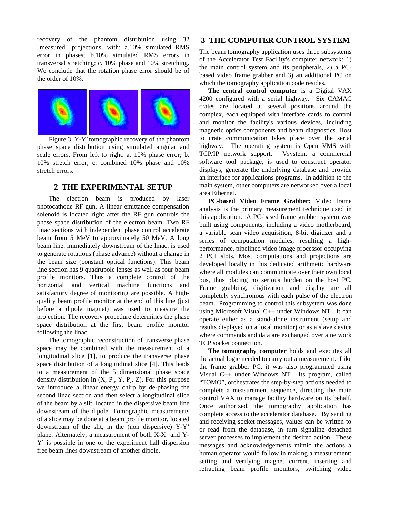recovery of the phantom distribution using 32 "measured" projections, with: a.10% simulated RMS error in phases; b.10% simulated RMS errors in transversal stretching; c. 10% phase and 10% stretching. We conclude that the rotation phase error should be of the order of 10%.



Figure 3. Y-Y' tomographic recovery of the phantom phase space distribution using simulated angular and scale errors. From left to right: a. 10% phase error; b. 10% stretch error; c. combined 10% phase and 10% stretch errors.

#### **2 THE EXPERIMENTAL SETUP**

The electron beam is produced by laser photocathode RF gun. A linear emittance compensation solenoid is located right after the RF gun controls the phase space distribution of the electron beam. Two RF linac sections with independent phase control accelerate beam from 5 MeV to approximately 50 MeV. A long beam line, immediately downstream of the linac, is used to generate rotations (phase advance) without a change in the beam size (constant optical functions). This beam line section has 9 quadrupole lenses as well as four beam profile monitors. Thus a complete control of the horizontal and vertical machine functions and satisfactory degree of monitoring are possible. A highquality beam profile monitor at the end of this line (just before a dipole magnet) was used to measure the projection. The recovery procedure determines the phase space distribution at the first beam profile monitor following the linac.

The tomographic reconstruction of transverse phase space may be combined with the measurement of a longitudinal slice [1], to produce the transverse phase space distribution of a longitudinal slice [4]. This leads to a measurement of the 5 dimensional phase space density distribution in  $(X, P_x, Y, P_y, Z)$ . For this purpose we introduce a linear energy chirp by de-phasing the second linac section and then select a longitudinal slice of the beam by a slit, located in the dispersive beam line downstream of the dipole. Tomographic measurements of a slice may be done at a beam profile monitor, located downstream of the slit, in the (non dispersive) Y-Y' plane. Alternately, a measurement of both X-X' and Y-Y' is possible in one of the experiment hall dispersion free beam lines downstream of another dipole.

#### **3 THE COMPUTER CONTROL SYSTEM**

The beam tomography application uses three subsystems of the Accelerator Test Facility's computer network: 1) the main control system and its peripherals, 2) a PCbased video frame grabber and 3) an additional PC on which the tomography application code resides.

**The central control computer** is a Digital VAX 4200 configured with a serial highway. Six CAMAC crates are located at several positions around the complex, each equipped with interface cards to control and monitor the facility's various devices, including magnetic optics components and beam diagnostics. Host to crate communication takes place over the serial highway. The operating system is Open VMS with TCP/IP network support. Vsystem, a commercial software tool package, is used to construct operator displays, generate the underlying database and provide an interface for applications programs. In addition to the main system, other computers are networked over a local area Ethernet.

**PC-based Video Frame Grabber:** Video frame analysis is the primary measurement technique used in this application. A PC-based frame grabber system was built using components, including a video motherboard, a variable scan video acquisition, 8-bit digitizer and a series of computation modules, resulting a highperformance, pipelined video image processor occupying 2 PCI slots. Most computations and projections are developed locally in this dedicated arithmetic hardware where all modules can communicate over their own local bus, thus placing no serious burden on the host PC. Frame grabbing, digitization and display are all completely synchronous with each pulse of the electron beam. Programming to control this subsystem was done using Microsoft Visual C++ under Windows NT. It can operate either as a stand-alone instrument (setup and results displayed on a local monitor) or as a slave device where commands and data are exchanged over a network TCP socket connection.

**The tomography computer** holds and executes all the actual logic needed to carry out a measurement. Like the frame grabber PC, it was also programmed using Visual C++ under Windows NT. Its program, called "TOMO", orchestrates the step-by-step actions needed to complete a measurement sequence, directing the main control VAX to manage facility hardware on its behalf. Once authorized, the tomography application has complete access to the accelerator database. By sending and receiving socket messages, values can be written to or read from the database, in turn signaling detached server processes to implement the desired action. These messages and acknowledgements mimic the actions a human operator would follow in making a measurement: setting and verifying magnet current, inserting and retracting beam profile monitors, switching video